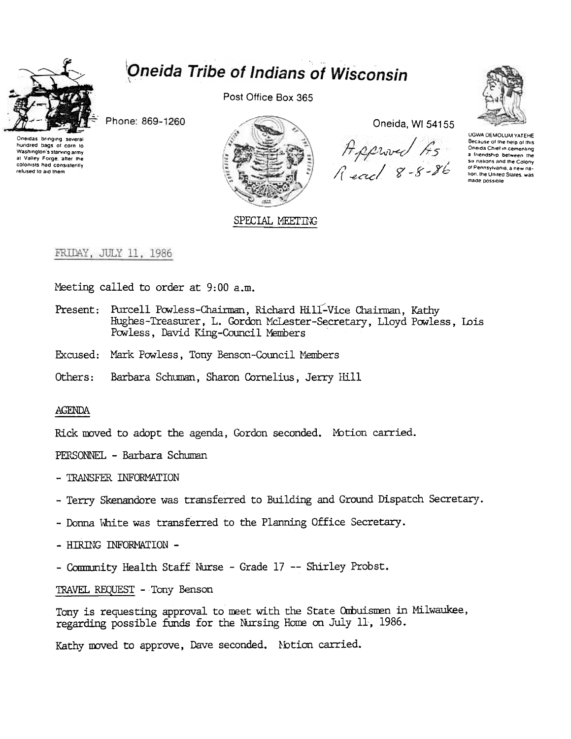

# Oneida Tribe of Indians of Wisconsin

Post Office Box 365

Phone: 869-1260



SPECIAL MEETING

Oneida, WI 54155





UGWA DEMOLUM YATEHE Because of the help of this Oneida Chief in cementing a friendship between the<br>six nations and the Colony of Pennsylvania, a new nation, the United States, was made possible

### FRIDAY, JULY 11, 1986

Meeting called to order at 9:00 a.m.

- Present: Purcell Powless-Chairman, Richard Hill-Vice Chairman, Kathy Hughes-Treasurer, L. Gordon McLester-Secretary, Lloyd Powless, Lois Powless, David King-Council Members
- Excused: Mark Powless, Tony Benson-Council Members
- Others: Barbara Schuman, Sharon Cornelius, Jerry Hill

#### **AGENDA**

Rick moved to adopt the agenda, Gordon seconded. Motion carried.

PERSONNEL - Barbara Schuman

- TRANSFER INFORMATION
- Terry Skenandore was transferred to Building and Ground Dispatch Secretary.
- Donna White was transferred to the Planning Office Secretary.
- HIRING INFORMATION -
- Community Health Staff Nurse Grade 17 -- Shirley Probst.

TRAVEL REQUEST - Tony Benson

Tony is requesting approval to meet with the State Ombuismen in Milwaukee, regarding possible funds for the Nursing Home on July 11, 1986.

Kathy moved to approve, Dave seconded. Notion carried.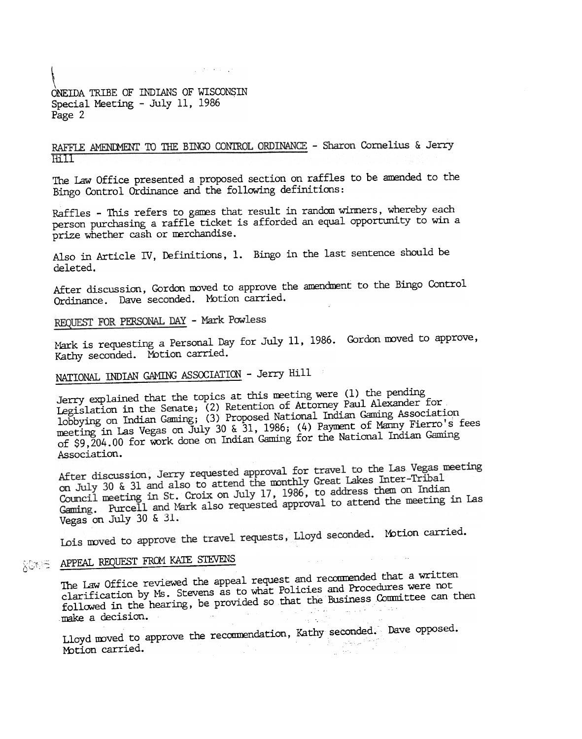### \ ONEillA TRIBE OF INDIANS OF WISCONSIN Special Meeting -July 11, 1986 Page 2

RAFFLE AMENDMENT TO THE BINGO CONTROL ORDINANCE - Sharon Cornelius & Jerry  $Hill$ 

 $\mathcal{L}_{\rm eff}$  , the contract of

The Law Office presented a proposed section on raffles to be amended to the Bingo Control Ordinance and the following definitions:

Raffles - This refers to games that result in random winners, whereby each person purchasing a raffle ticket is afforded an equal opportunity to win a prize whether cash or merchandise.

Also in Article IV, Definitions, 1. Bingo in the last sentence should be deleted.

After discussion, Gordon moved to approve the amendment to the Bingo Control Ordinance. Dave seconded. Mbtion carried.

REQUEST FOR PERSONAL DAY - Mark Powless

Mark is requesting a Personal Day for July 11, 1986. Gordon moved to approve, Kathy seconded. Motion carried.

## NATIONAL INDIAN GAMING ASSOCIATION - Jerry Hill

 $\frac{1}{2}$  is the topics at this moting were (1) the Jerry explained that the topics at this meeting were  $\lim_{n\to\infty}$  Alexa Legislation in the Senate; (2) Retention of Attorney Paul Alexander for 1obbying on Indian Gaming; (3) Proposed National Indian Gaming Association meeting in Las Vegas on July 30 & 31, 1986; (4) Payment of Manny Fierro's fees of \$9,204.00 for work done on Indian Gaming for the National Indian Gaming<br>Association.

After discussion, Jerry requested approval for travel to the Las Vegas meeting After discussion, Jerry requested approval for travel to the mondial<br>on July 30 & 31 and also to attend the monthly Great Lakes Inter-Tribal on July 30 & 31 and also to attend the monthly Great Lakes Incorrect<br>Council meeting in St. Croix on July 17, 1986, to address them on Indian Gaming. Purcell and Mark also requested approval to attend the meeting in Las Vegas on July 30 & 31.

Lois moved to approve the travel requests, Lloyd seconded. Motion carried.

### **APPEAL REQUEST FROM KATE STEV**

The Law Office reviewed the appeal request and recommended that a written The Law Office reviewed the appear request and recommencedures were not clarification by Ms. Stevens as to what follows and according to Conmittee can then followed in the hearing, be provided so did the المعاملة أخريني المستوى والمراجعة.<br>. المستوى الموارد المستوى المستوى المستوى

Lloyd moved to approve the recommendation, Kathy seconded. Dave opposed.<br>Motion carried. Motion carried. e di Santa Caracteria.<br>Setelah pada 1990 dan pada 1990 dan ke